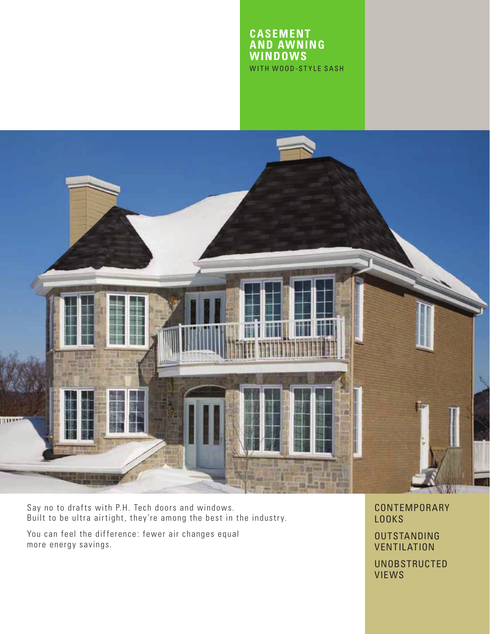### **CASEMENT AND AWNING WINDOWS**  WITH WOOD-STYLE SASH



Say no to drafts with P.H. Tech doors and windows. Built to be ultra airtight, they're among the best in the industry.

You can feel the difference: fewer air changes equal more energy savings.

CONTEMPORARY LOOKS

OUTSTANDING **VENTILATION** 

UNOBSTRUCTED VIEWS